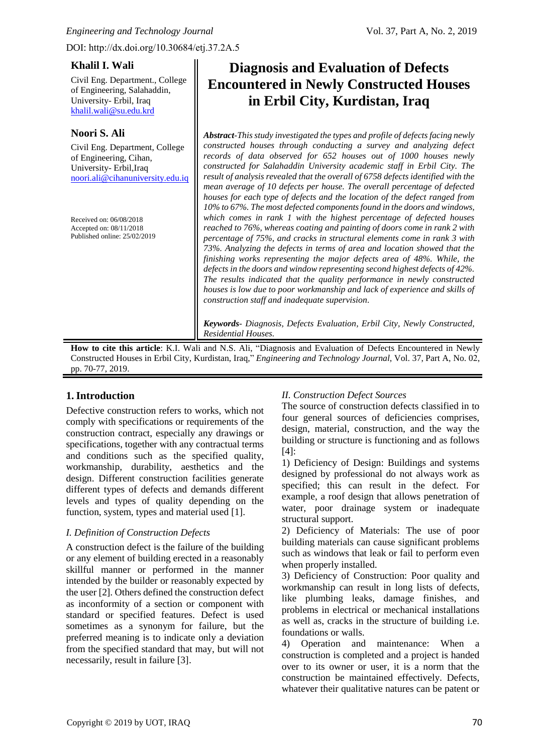## **Khalil I. Wali**

Civil Eng. Department., College of Engineering, Salahaddin, University- Erbil, Iraq [khalil.wali@su.edu.krd](mailto:khalil.wali@su.edu.krd)

# **Noori S. Ali**

Civil Eng. Department, College of Engineering, Cihan, University- Erbil,Iraq [noori.ali@cihanuniversity.edu.iq](mailto:noori.ali@cihanuniversity.edu.iq) 

Received on: 06/08/2018 Accepted on: 08/11/2018 Published online: 25/02/2019

# **Diagnosis and Evaluation of Defects Encountered in Newly Constructed Houses in Erbil City, Kurdistan, Iraq**

*Abstract-This study investigated the types and profile of defects facing newly constructed houses through conducting a survey and analyzing defect records of data observed for 652 houses out of 1000 houses newly constructed for Salahaddin University academic staff in Erbil City. The result of analysis revealed that the overall of 6758 defects identified with the mean average of 10 defects per house. The overall percentage of defected houses for each type of defects and the location of the defect ranged from 10% to 67%. The most defected components found in the doors and windows, which comes in rank 1 with the highest percentage of defected houses reached to 76%, whereas coating and painting of doors come in rank 2 with percentage of 75%, and cracks in structural elements come in rank 3 with 73%. Analyzing the defects in terms of area and location showed that the finishing works representing the major defects area of 48%. While, the defects in the doors and window representing second highest defects of 42%. The results indicated that the quality performance in newly constructed houses is low due to poor workmanship and lack of experience and skills of construction staff and inadequate supervision.*

*Keywords- Diagnosis, Defects Evaluation, Erbil City, Newly Constructed, Residential Houses.*

**How to cite this article**: K.I. Wali and N.S. Ali, "Diagnosis and Evaluation of Defects Encountered in Newly Constructed Houses in Erbil City, Kurdistan, Iraq*,*" *Engineering and Technology Journal*, Vol. 37, Part A, No. 02, pp. 70-77, 2019.

# **1. Introduction**

Defective construction refers to works, which not comply with specifications or requirements of the construction contract, especially any drawings or specifications, together with any contractual terms and conditions such as the specified quality, workmanship, durability, aesthetics and the design. Different construction facilities generate different types of defects and demands different levels and types of quality depending on the function, system, types and material used [1].

# *I. Definition of Construction Defects*

A construction defect is the failure of the building or any element of building erected in a reasonably skillful manner or performed in the manner intended by the builder or reasonably expected by the user [2]. Others defined the construction defect as inconformity of a section or component with standard or specified features. Defect is used sometimes as a synonym for failure, but the preferred meaning is to indicate only a deviation from the specified standard that may, but will not necessarily, result in failure [3].

# *II. Construction Defect Sources*

The source of construction defects classified in to four general sources of deficiencies comprises, design, material, construction, and the way the building or structure is functioning and as follows [4]:

1) Deficiency of Design: Buildings and systems designed by professional do not always work as specified; this can result in the defect. For example, a roof design that allows penetration of water, poor drainage system or inadequate structural support.

2) Deficiency of Materials: The use of poor building materials can cause significant problems such as windows that leak or fail to perform even when properly installed.

3) Deficiency of Construction: Poor quality and workmanship can result in long lists of defects, like plumbing leaks, damage finishes, and problems in electrical or mechanical installations as well as, cracks in the structure of building i.e. foundations or walls.

4) Operation and maintenance: When a construction is completed and a project is handed over to its owner or user, it is a norm that the construction be maintained effectively. Defects, whatever their qualitative natures can be patent or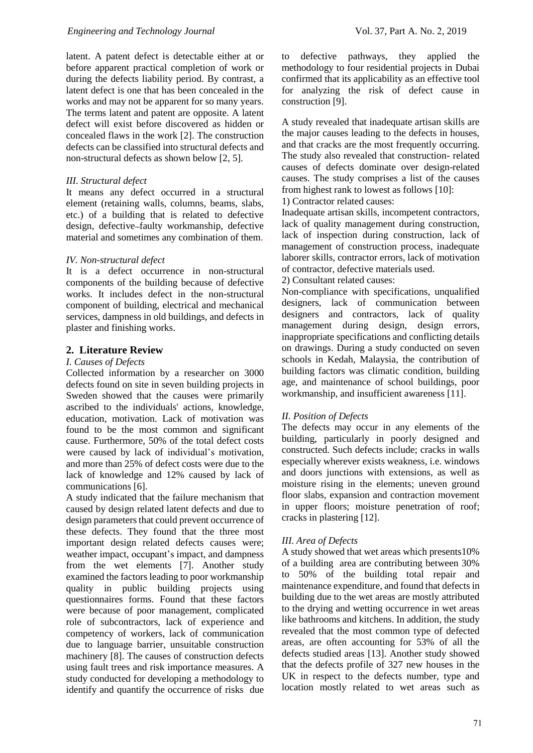latent. A patent defect is detectable either at or before apparent practical completion of work or during the defects liability period. By contrast, a latent defect is one that has been concealed in the works and may not be apparent for so many years. The terms latent and patent are opposite. A latent defect will exist before discovered as hidden or concealed flaws in the work [2]. The construction defects can be classified into structural defects and non-structural defects as shown below [2, 5].

#### *III. Structural defect*

It means any defect occurred in a structural element (retaining walls, columns, beams, slabs, etc.) of a building that is related to defective design, defective faulty workmanship, defective material and sometimes any combination of them.

## *IV. Non-structural defect*

It is a defect occurrence in non-structural components of the building because of defective works. It includes defect in the non-structural component of building, electrical and mechanical services, dampness in old buildings, and defects in plaster and finishing works.

## **2. Literature Review**

## *I. Causes of Defects*

Collected information by a researcher on 3000 defects found on site in seven building projects in Sweden showed that the causes were primarily ascribed to the individuals' actions, knowledge, education, motivation. Lack of motivation was found to be the most common and significant cause. Furthermore, 50% of the total defect costs were caused by lack of individual's motivation, and more than 25% of defect costs were due to the lack of knowledge and 12% caused by lack of communications [6].

A study indicated that the failure mechanism that caused by design related latent defects and due to design parameters that could prevent occurrence of these defects. They found that the three most important design related defects causes were; weather impact, occupant's impact, and dampness from the wet elements [7]. Another study examined the factors leading to poor workmanship quality in public building projects using questionnaires forms. Found that these factors were because of poor management, complicated role of subcontractors, lack of experience and competency of workers, lack of communication due to language barrier, unsuitable construction machinery [8]. The causes of construction defects using fault trees and risk importance measures. A study conducted for developing a methodology to identify and quantify the occurrence of risks due

to defective pathways, they applied the methodology to four residential projects in Dubai confirmed that its applicability as an effective tool for analyzing the risk of defect cause in construction [9].

A study revealed that inadequate artisan skills are the major causes leading to the defects in houses, and that cracks are the most frequently occurring. The study also revealed that construction- related causes of defects dominate over design-related causes. The study comprises a list of the causes from highest rank to lowest as follows [10]:

1) Contractor related causes:

Inadequate artisan skills, incompetent contractors, lack of quality management during construction, lack of inspection during construction, lack of management of construction process, inadequate laborer skills, contractor errors, lack of motivation of contractor, defective materials used.

2) Consultant related causes:

Non-compliance with specifications, unqualified designers, lack of communication between designers and contractors, lack of quality management during design, design errors, inappropriate specifications and conflicting details on drawings. During a study conducted on seven schools in Kedah, Malaysia, the contribution of building factors was climatic condition, building age, and maintenance of school buildings, poor workmanship, and insufficient awareness [11].

## *II. Position of Defects*

The defects may occur in any elements of the building, particularly in poorly designed and constructed. Such defects include; cracks in walls especially wherever exists weakness, i.e. windows and doors junctions with extensions, as well as moisture rising in the elements; uneven ground floor slabs, expansion and contraction movement in upper floors; moisture penetration of roof; cracks in plastering [12].

## *III. Area of Defects*

A study showed that wet areas which presents10% of a building area are contributing between 30% 50% of the building total repair and maintenance expenditure, and found that defects in building due to the wet areas are mostly attributed to the drying and wetting occurrence in wet areas like bathrooms and kitchens. In addition, the study revealed that the most common type of defected areas, are often accounting for 53% of all the defects studied areas [13]. Another study showed that the defects profile of 327 new houses in the UK in respect to the defects number, type and location mostly related to wet areas such as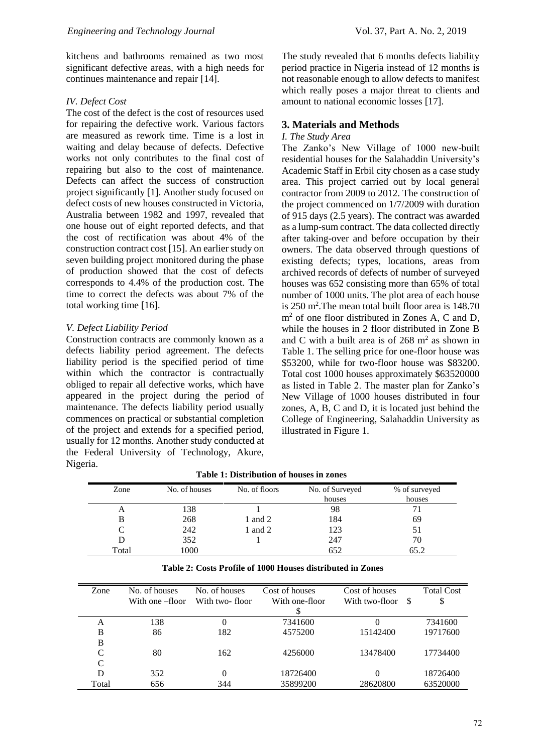kitchens and bathrooms remained as two most significant defective areas, with a high needs for continues maintenance and repair [14].

#### *IV. Defect Cost*

The cost of the defect is the cost of resources used for repairing the defective work. Various factors are measured as rework time. Time is a lost in waiting and delay because of defects. Defective works not only contributes to the final cost of repairing but also to the cost of maintenance. Defects can affect the success of construction project significantly [1]. Another study focused on defect costs of new houses constructed in Victoria, Australia between 1982 and 1997, revealed that one house out of eight reported defects, and that the cost of rectification was about 4% of the construction contract cost [15]. An earlier study on seven building project monitored during the phase of production showed that the cost of defects corresponds to 4.4% of the production cost. The time to correct the defects was about 7% of the total working time [16].

#### *V. Defect Liability Period*

Construction contracts are commonly known as a defects liability period agreement. The defects liability period is the specified period of time within which the contractor is contractually obliged to repair all defective works, which have appeared in the project during the period of maintenance. The defects liability period usually commences on practical or substantial completion of the project and extends for a specified period, usually for 12 months. Another study conducted at the Federal University of Technology, Akure, Nigeria.

The study revealed that 6 months defects liability period practice in Nigeria instead of 12 months is not reasonable enough to allow defects to manifest which really poses a major threat to clients and amount to national economic losses [17].

#### **3. Materials and Methods**

#### *I. The Study Area*

The Zanko's New Village of 1000 new-built residential houses for the Salahaddin University's Academic Staff in Erbil city chosen as a case study area. This project carried out by local general contractor from 2009 to 2012. The construction of the project commenced on 1/7/2009 with duration of 915 days (2.5 years). The contract was awarded as a lump-sum contract. The data collected directly after taking-over and before occupation by their owners. The data observed through questions of existing defects; types, locations, areas from archived records of defects of number of surveyed houses was 652 consisting more than 65% of total number of 1000 units. The plot area of each house is 250 m<sup>2</sup> .The mean total built floor area is 148.70 m<sup>2</sup> of one floor distributed in Zones A, C and D, while the houses in 2 floor distributed in Zone B and C with a built area is of  $268 \text{ m}^2$  as shown in Table 1. The selling price for one-floor house was \$53200, while for two-floor house was \$83200. Total cost 1000 houses approximately \$63520000 as listed in Table 2. The master plan for Zanko's New Village of 1000 houses distributed in four zones, A, B, C and D, it is located just behind the College of Engineering, Salahaddin University as illustrated in Figure 1.

| No. of houses | No. of floors | No. of Surveyed | % of surveyed |  |  |
|---------------|---------------|-----------------|---------------|--|--|
|               |               | houses          | houses        |  |  |
| 138           |               | 98              |               |  |  |
| 268           | 1 and 2       | 184             | 69            |  |  |
| 242           | 1 and 2       | 123             |               |  |  |
| 352           |               | 247             | 70            |  |  |
| 1000          |               | 652             | 65.2          |  |  |
|               |               |                 |               |  |  |

**Table 1: Distribution of houses in zones** 

|  | Table 2: Costs Profile of 1000 Houses distributed in Zones |
|--|------------------------------------------------------------|
|--|------------------------------------------------------------|

| Zone  | No. of houses   | No. of houses  | Cost of houses | Cost of houses       | <b>Total Cost</b> |
|-------|-----------------|----------------|----------------|----------------------|-------------------|
|       | With one –floor | With two-floor | With one-floor | With two-floor<br>-S | \$                |
|       |                 |                |                |                      |                   |
| A     | 138             |                | 7341600        |                      | 7341600           |
| B     | 86              | 182            | 4575200        | 15142400             | 19717600          |
| B     |                 |                |                |                      |                   |
| C     | 80              | 162            | 4256000        | 13478400             | 17734400          |
| C     |                 |                |                |                      |                   |
| D     | 352             | $\Omega$       | 18726400       |                      | 18726400          |
| Total | 656             | 344            | 35899200       | 28620800             | 63520000          |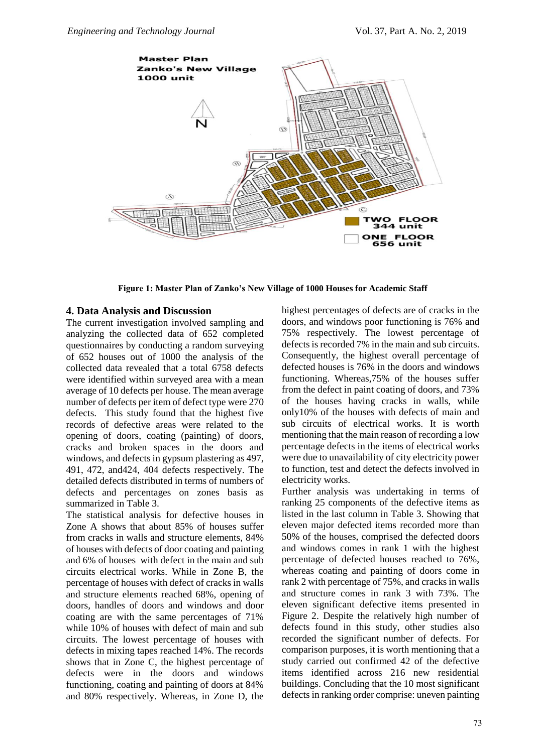

**Figure 1: Master Plan of Zanko's New Village of 1000 Houses for Academic Staff** 

#### **4. Data Analysis and Discussion**

The current investigation involved sampling and analyzing the collected data of 652 completed questionnaires by conducting a random surveying of 652 houses out of 1000 the analysis of the collected data revealed that a total 6758 defects were identified within surveyed area with a mean average of 10 defects per house. The mean average number of defects per item of defect type were 270 defects. This study found that the highest five records of defective areas were related to the opening of doors, coating (painting) of doors, cracks and broken spaces in the doors and windows, and defects in gypsum plastering as 497, 491, 472, and424, 404 defects respectively. The detailed defects distributed in terms of numbers of defects and percentages on zones basis as summarized in Table 3.

The statistical analysis for defective houses in Zone A shows that about 85% of houses suffer from cracks in walls and structure elements, 84% of houses with defects of door coating and painting and 6% of houses with defect in the main and sub circuits electrical works. While in Zone B, the percentage of houses with defect of cracks in walls and structure elements reached 68%, opening of doors, handles of doors and windows and door coating are with the same percentages of 71% while 10% of houses with defect of main and sub circuits. The lowest percentage of houses with defects in mixing tapes reached 14%. The records shows that in Zone C, the highest percentage of defects were in the doors and windows functioning, coating and painting of doors at 84% and 80% respectively. Whereas, in Zone D, the highest percentages of defects are of cracks in the doors, and windows poor functioning is 76% and 75% respectively. The lowest percentage of defects is recorded 7% in the main and sub circuits. Consequently, the highest overall percentage of defected houses is 76% in the doors and windows functioning. Whereas,75% of the houses suffer from the defect in paint coating of doors, and 73% of the houses having cracks in walls, while only10% of the houses with defects of main and sub circuits of electrical works. It is worth mentioning that the main reason of recording a low percentage defects in the items of electrical works were due to unavailability of city electricity power to function, test and detect the defects involved in electricity works.

Further analysis was undertaking in terms of ranking 25 components of the defective items as listed in the last column in Table 3. Showing that eleven major defected items recorded more than 50% of the houses, comprised the defected doors and windows comes in rank 1 with the highest percentage of defected houses reached to 76%, whereas coating and painting of doors come in rank 2 with percentage of 75%, and cracks in walls and structure comes in rank 3 with 73%. The eleven significant defective items presented in Figure 2. Despite the relatively high number of defects found in this study, other studies also recorded the significant number of defects. For comparison purposes, it is worth mentioning that a study carried out confirmed 42 of the defective items identified across 216 new residential buildings. Concluding that the 10 most significant defects in ranking order comprise: uneven painting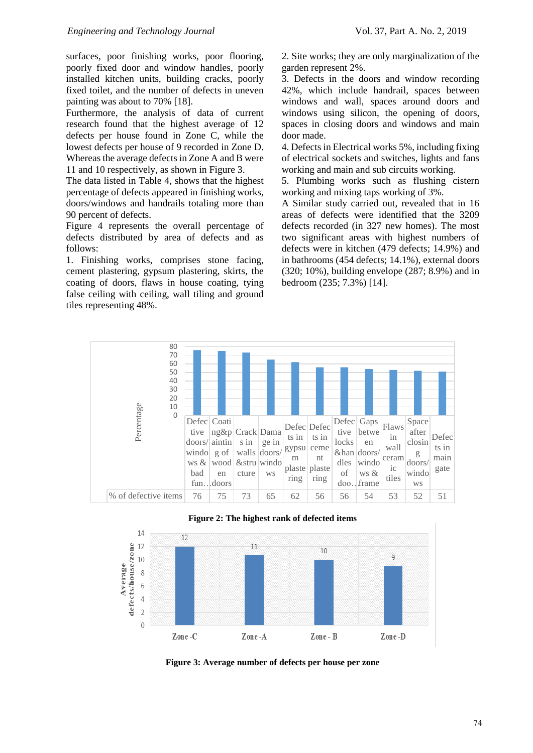surfaces, poor finishing works, poor flooring, poorly fixed door and window handles, poorly installed kitchen units, building cracks, poorly fixed toilet, and the number of defects in uneven painting was about to 70% [18].

Furthermore, the analysis of data of current research found that the highest average of 12 defects per house found in Zone C, while the lowest defects per house of 9 recorded in Zone D. Whereas the average defects in Zone A and B were 11 and 10 respectively, as shown in Figure 3.

The data listed in Table 4, shows that the highest percentage of defects appeared in finishing works, doors/windows and handrails totaling more than 90 percent of defects.

Figure 4 represents the overall percentage of defects distributed by area of defects and as follows:

1. Finishing works, comprises stone facing, cement plastering, gypsum plastering, skirts, the coating of doors, flaws in house coating, tying false ceiling with ceiling, wall tiling and ground tiles representing 48%.

2. Site works; they are only marginalization of the garden represent 2%.

3. Defects in the doors and window recording 42%, which include handrail, spaces between windows and wall, spaces around doors and windows using silicon, the opening of doors, spaces in closing doors and windows and main door made.

4. Defects in Electrical works 5%, including fixing of electrical sockets and switches, lights and fans working and main and sub circuits working.

5. Plumbing works such as flushing cistern working and mixing taps working of 3%.

A Similar study carried out, revealed that in 16 areas of defects were identified that the 3209 defects recorded (in 327 new homes). The most two significant areas with highest numbers of defects were in kitchen (479 defects; 14.9%) and in bathrooms (454 defects; 14.1%), external doors (320; 10%), building envelope (287; 8.9%) and in bedroom (235; 7.3%) [14].







**Figure 3: Average number of defects per house per zone**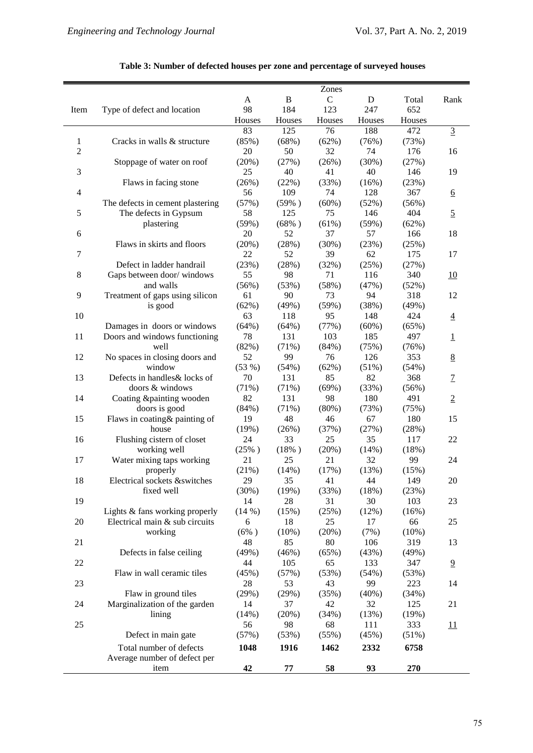|                |                                  |              |               | Zones        |                 |               |                          |
|----------------|----------------------------------|--------------|---------------|--------------|-----------------|---------------|--------------------------|
|                |                                  | A            | $\bf{B}$      | $\mathbf C$  | D               | Total         | Rank                     |
| Item           | Type of defect and location      | 98           | 184           | 123          | 247             | 652           |                          |
|                |                                  |              |               |              |                 |               |                          |
|                |                                  | Houses<br>83 | Houses<br>125 | Houses<br>76 | Houses<br>188   | Houses<br>472 |                          |
|                |                                  |              |               |              |                 |               | $\overline{3}$           |
| 1              | Cracks in walls & structure      | (85%)        | (68%)         | (62%)        | (76%)           | (73%)         |                          |
| $\overline{2}$ |                                  | 20           | 50            | 32           | 74              | 176           | 16                       |
|                | Stoppage of water on roof        | (20%)        | (27%)         | (26%)        | (30%)           | (27%)         |                          |
| 3              |                                  | 25           | 40            | 41           | 40              | 146           | 19                       |
|                | Flaws in facing stone            | (26%)        | (22%)         | (33%)        | (16%)           | (23%)         |                          |
| $\overline{4}$ |                                  | 56           | 109           | 74           | 128             | 367           | $6 \overline{6}$         |
|                | The defects in cement plastering | (57%)        | (59%)         | $(60\%)$     | (52%)           | (56%)         |                          |
| 5              | The defects in Gypsum            | 58           | 125           | 75           | 146             | 404           | $\overline{2}$           |
|                | plastering                       | (59%)        | (68%)         | (61%)        | (59%)           | (62%)         |                          |
| 6              |                                  | 20           | 52            | 37           | 57              | 166           | 18                       |
|                | Flaws in skirts and floors       | (20%)        | (28%)         | (30%)        | (23%)           | (25%)         |                          |
| 7              |                                  | 22           | 52            | 39           | 62              | 175           | 17                       |
|                | Defect in ladder handrail        | (23%)        | (28%)         | (32%)        | (25%)           | (27%)         |                          |
| 8              | Gaps between door/windows        | 55           | 98            | 71           | 116             | 340           | 10                       |
|                | and walls                        | (56%)        | (53%)         | (58%)        | (47%)           | (52%)         |                          |
| 9              | Treatment of gaps using silicon  | 61           | 90            | 73           | 94              | 318           | 12                       |
|                | is good                          | (62%)        | (49%)         | (59%)        | (38%)           | (49%)         |                          |
| 10             |                                  | 63           | 118           | 95           | 148             | 424           | $\overline{4}$           |
|                |                                  | (64%)        | (64%)         |              |                 | (65%)         |                          |
| 11             | Damages in doors or windows      | 78           | 131           | (77%)        | $(60\%)$<br>185 | 497           |                          |
|                | Doors and windows functioning    |              |               | 103          |                 |               | $\mathbf 1$              |
|                | well                             | (82%)        | (71%)         | (84%)        | (75%)           | (76%)         |                          |
| 12             | No spaces in closing doors and   | 52           | 99            | 76           | 126             | 353           | 8                        |
|                | window                           | (53%)        | (54%)         | (62%)        | (51%)           | (54%)         |                          |
| 13             | Defects in handles& locks of     | 70           | 131           | 85           | 82              | 368           | $\overline{1}$           |
|                | doors & windows                  | (71%)        | (71%)         | (69%)        | (33%)           | (56%)         |                          |
| 14             | Coating &painting wooden         | 82           | 131           | 98           | 180             | 491           | $\underline{2}$          |
|                | doors is good                    | (84%)        | (71%)         | $(80\%)$     | (73%)           | (75%)         |                          |
| 15             | Flaws in coating & painting of   | 19           | 48            | 46           | 67              | 180           | 15                       |
|                | house                            | (19%)        | (26%)         | (37%)        | (27%)           | (28%)         |                          |
| 16             | Flushing cistern of closet       | 24           | 33            | 25           | 35              | 117           | $22\,$                   |
|                | working well                     | $(25\%)$     | (18%)         | (20%)        | (14%)           | (18%)         |                          |
| 17             | Water mixing taps working        | 21           | 25            | 21           | 32              | 99            | 24                       |
|                | properly                         | (21%)        | (14%)         | (17%)        | (13%)           | (15%)         |                          |
| 18             | Electrical sockets &switches     | 29           | 35            | 41           | 44              | 149           | 20                       |
|                | fixed well                       | (30%)        | (19%)         | (33%)        | (18%)           | (23%)         |                          |
| 19             |                                  | 14           | 28            | 31           | 30              | 103           | 23                       |
|                | Lights & fans working properly   | (14%)        | (15%)         | (25%)        | (12%)           | (16%)         |                          |
| 20             | Electrical main & sub circuits   | 6            | 18            | 25           | 17              | 66            | 25                       |
|                | working                          | $(6\%)$      | $(10\%)$      | (20%)        | (7%)            | $(10\%)$      |                          |
| 21             |                                  | 48           | 85            | 80           | 106             | 319           | 13                       |
|                | Defects in false ceiling         | (49%)        | (46%)         | (65%)        | (43%)           | (49%)         |                          |
| 22             |                                  | 44           | 105           | 65           | 133             | 347           | $\overline{9}$           |
|                | Flaw in wall ceramic tiles       | (45%)        | (57%)         | (53%)        | (54%)           | (53%)         |                          |
| 23             |                                  | 28           | 53            | 43           | 99              | 223           | 14                       |
|                | Flaw in ground tiles             | (29%)        | (29%)         | (35%)        | (40%)           | (34%)         |                          |
| 24             |                                  | 14           | 37            | 42           | 32              | 125           | 21                       |
|                | Marginalization of the garden    |              |               |              |                 |               |                          |
|                | lining                           | (14%)        | (20%)         | (34%)        | (13%)           | (19%)         |                          |
| 25             |                                  | 56           | 98            | 68           | 111             | 333           | $\overline{\mathbf{11}}$ |
|                | Defect in main gate              | (57%)        | (53%)         | (55%)        | (45%)           | (51%)         |                          |
|                | Total number of defects          | 1048         | 1916          | 1462         | 2332            | 6758          |                          |
|                | Average number of defect per     |              |               |              |                 |               |                          |
|                | item                             | 42           | $77\,$        | 58           | 93              | 270           |                          |

## **Table 3: Number of defected houses per zone and percentage of surveyed houses**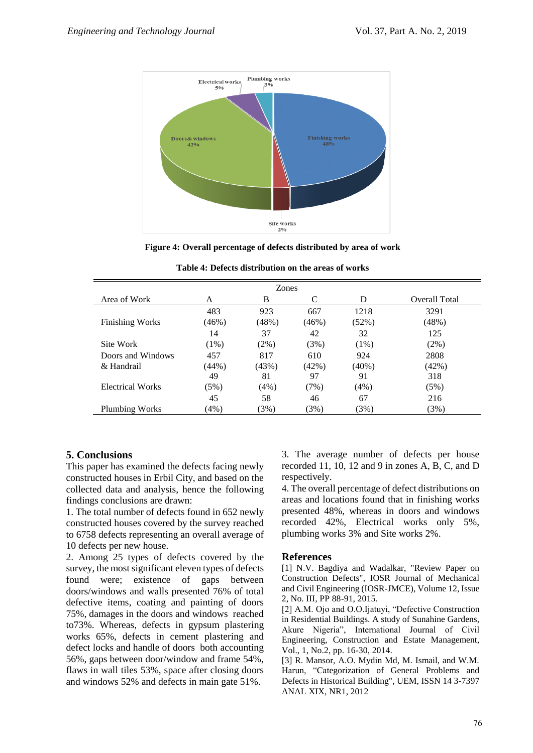

**Figure 4: Overall percentage of defects distributed by area of work** 

| <b>Zones</b>           |              |              |                 |               |                      |
|------------------------|--------------|--------------|-----------------|---------------|----------------------|
| Area of Work           | A            | B            | C               | D             | <b>Overall Total</b> |
| <b>Finishing Works</b> | 483<br>(46%) | 923<br>(48%) | 667<br>$(46\%)$ | 1218<br>(52%) | 3291<br>(48%)        |
|                        | 14           | 37           | 42              | 32            | 125                  |
| Site Work              | $(1\%)$      | $(2\%)$      | (3%)            | $(1\%)$       | (2%)                 |
| Doors and Windows      | 457          | 817          | 610             | 924           | 2808                 |
| & Handrail             | (44%)        | (43%)        | (42%)           | $(40\%)$      | (42%)                |
|                        | 49           | 81           | 97              | 91            | 318                  |
| Electrical Works       | (5%)         | (4%)         | (7%)            | (4%)          | (5%)                 |
|                        | 45           | 58           | 46              | 67            | 216                  |
| Plumbing Works         | (4%)         | (3%)         | (3%)            | (3%)          | (3%)                 |

| Table 4: Defects distribution on the areas of works |  |
|-----------------------------------------------------|--|
|-----------------------------------------------------|--|

# **5. Conclusions**

This paper has examined the defects facing newly constructed houses in Erbil City, and based on the collected data and analysis, hence the following findings conclusions are drawn:

1. The total number of defects found in 652 newly constructed houses covered by the survey reached to 6758 defects representing an overall average of 10 defects per new house.

2. Among 25 types of defects covered by the survey, the most significant eleven types of defects found were; existence of gaps between doors/windows and walls presented 76% of total defective items, coating and painting of doors 75%, damages in the doors and windows reached to73%. Whereas, defects in gypsum plastering works 65%, defects in cement plastering and defect locks and handle of doors both accounting 56%, gaps between door/window and frame 54%, flaws in wall tiles 53%, space after closing doors and windows 52% and defects in main gate 51%.

3. The average number of defects per house recorded 11, 10, 12 and 9 in zones A, B, C, and D respectively.

4. The overall percentage of defect distributions on areas and locations found that in finishing works presented 48%, whereas in doors and windows recorded 42%, Electrical works only 5%, plumbing works 3% and Site works 2%.

## **References**

[1] N.V. Bagdiya and Wadalkar, "Review Paper on Construction Defects", IOSR Journal of Mechanical and Civil Engineering (IOSR-JMCE), Volume 12, Issue 2, No. III, PP 88-91, 2015.

[2] A.M. Ojo and O.O.Ijatuyi, "Defective Construction in Residential Buildings. A study of Sunahine Gardens, Akure Nigeria", International Journal of Civil Engineering, Construction and Estate Management, Vol., 1, No.2, pp. 16-30, 2014.

[3] R. Mansor, A.O. Mydin Md, M. Ismail, and W.M. Harun, "Categorization of General Problems and Defects in Historical Building", UEM, ISSN 14 3-7397 ANAL XIX, NR1, 2012